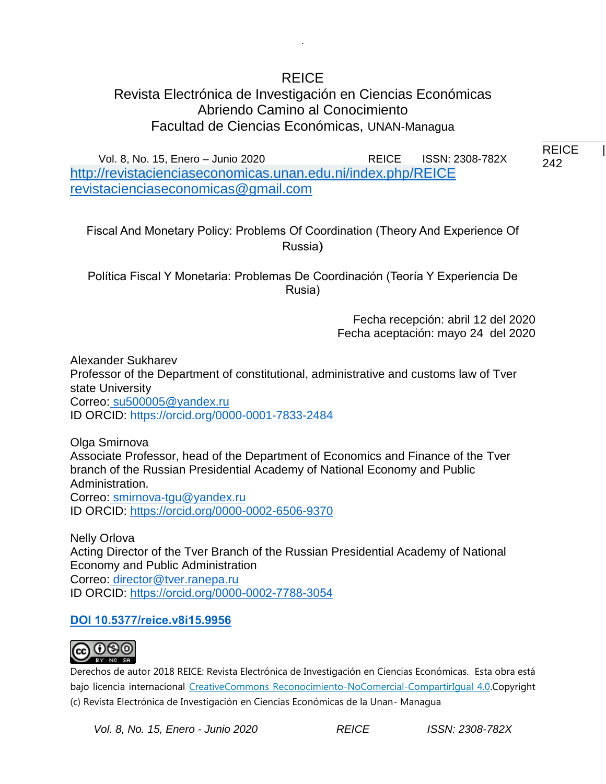# REICE

.

## Revista Electrónica de Investigación en Ciencias Económicas Abriendo Camino al Conocimiento Facultad de Ciencias Económicas, UNAN-Managua

Vol. 8, No. 15, Enero – Junio 2020 REICE ISSN: 2308-782X <http://revistacienciaseconomicas.unan.edu.ni/index.php/REICE> [revistacienciaseconomicas@gmail.com](mailto:revistacienciaseconomicas@gmail.com)

Fiscal And Monetary Policy: Problems Of Coordination (Theory And Experience Of Russia**)**

Política Fiscal Y Monetaria: Problemas De Coordinación (Teoría Y Experiencia De Rusia)

> Fecha recepción: abril 12 del 2020 Fecha aceptación: mayo 24 del 2020

Alexander Sukharev Professor of the Department of constitutional, administrative and customs law of Tver state University Correo: [su500005@yandex.ru](mailto:su500005@yandex.ru) ID ORCID:<https://orcid.org/0000-0001-7833-2484>

Olga Smirnova Associate Professor, head of the Department of Economics and Finance of the Tver branch of the Russian Presidential Academy of National Economy and Public Administration. Correo: [smirnova-tgu@yandex.ru](mailto:smirnova-tgu@yandex.ru) ID ORCID:<https://orcid.org/0000-0002-6506-9370>

Nelly Orlova Acting Director of the Tver Branch of the Russian Presidential Academy of National Economy and Public Administration Correo: [director@tver.ranepa.ru](mailto:director@tver.ranepa.ru) ID ORCID:<https://orcid.org/0000-0002-7788-3054>

## **DOI 10.5377/reice.v8i15.9956**



Derechos de autor 2018 REICE: Revista Electrónica de Investigación en Ciencias Económicas. Esta obra está bajo licencia internacional [CreativeCommons Reconocimiento-NoComercial-CompartirIgual 4.0.C](http://creativecommons.org/licenses/by-nc-sa/4.0/)opyright (c) Revista Electrónica de Investigación en Ciencias Económicas de la Unan- Managua

*Vol. 8, No. 15, Enero - Junio 2020 REICE ISSN: 2308-782X*

REICE | 242 242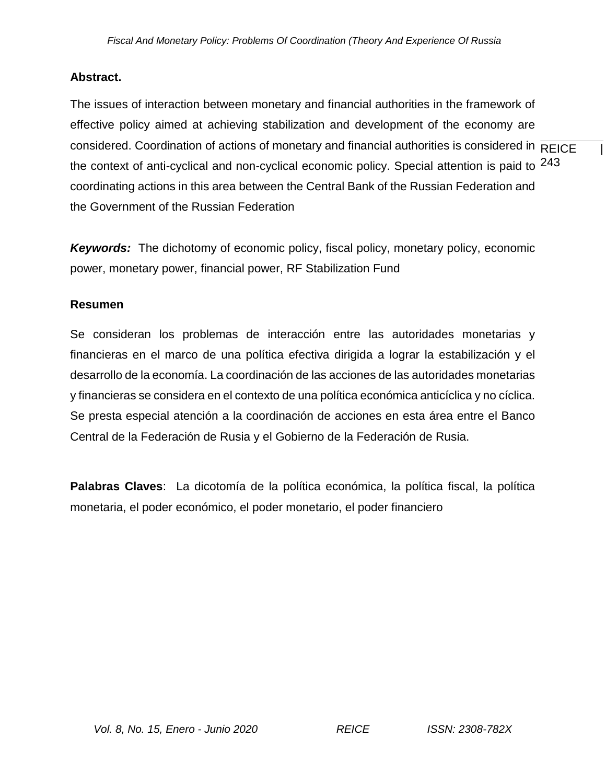## **Abstract.**

considered. Coordination of actions of monetary and financial authorities is considered in  $\overline{\sf REICE}$  | the context of anti-cyclical and non-cyclical economic policy. Special attention is paid to  $^{243}$ The issues of interaction between monetary and financial authorities in the framework of effective policy aimed at achieving stabilization and development of the economy are coordinating actions in this area between the Central Bank of the Russian Federation and the Government of the Russian Federation

*Keywords:* The dichotomy of economic policy, fiscal policy, monetary policy, economic power, monetary power, financial power, RF Stabilization Fund

## **Resumen**

Se consideran los problemas de interacción entre las autoridades monetarias y financieras en el marco de una política efectiva dirigida a lograr la estabilización y el desarrollo de la economía. La coordinación de las acciones de las autoridades monetarias y financieras se considera en el contexto de una política económica anticíclica y no cíclica. Se presta especial atención a la coordinación de acciones en esta área entre el Banco Central de la Federación de Rusia y el Gobierno de la Federación de Rusia.

**Palabras Claves**: La dicotomía de la política económica, la política fiscal, la política monetaria, el poder económico, el poder monetario, el poder financiero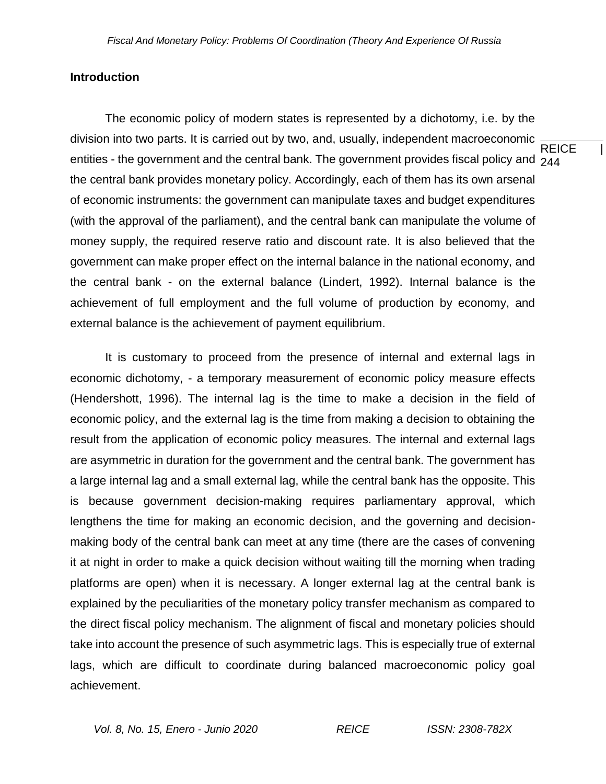### **Introduction**

**REICE** entities - the government and the central bank. The government provides fiscal policy and  $_{\mathcal{244}}$ The economic policy of modern states is represented by a dichotomy, i.e. by the division into two parts. It is carried out by two, and, usually, independent macroeconomic the central bank provides monetary policy. Accordingly, each of them has its own arsenal of economic instruments: the government can manipulate taxes and budget expenditures (with the approval of the parliament), and the central bank can manipulate the volume of money supply, the required reserve ratio and discount rate. It is also believed that the government can make proper effect on the internal balance in the national economy, and the central bank - on the external balance (Lindert, 1992). Internal balance is the achievement of full employment and the full volume of production by economy, and external balance is the achievement of payment equilibrium.

It is customary to proceed from the presence of internal and external lags in economic dichotomy, - a temporary measurement of economic policy measure effects (Hendershott, 1996). The internal lag is the time to make a decision in the field of economic policy, and the external lag is the time from making a decision to obtaining the result from the application of economic policy measures. The internal and external lags are asymmetric in duration for the government and the central bank. The government has a large internal lag and a small external lag, while the central bank has the opposite. This is because government decision-making requires parliamentary approval, which lengthens the time for making an economic decision, and the governing and decisionmaking body of the central bank can meet at any time (there are the cases of convening it at night in order to make a quick decision without waiting till the morning when trading platforms are open) when it is necessary. A longer external lag at the central bank is explained by the peculiarities of the monetary policy transfer mechanism as compared to the direct fiscal policy mechanism. The alignment of fiscal and monetary policies should take into account the presence of such asymmetric lags. This is especially true of external lags, which are difficult to coordinate during balanced macroeconomic policy goal achievement.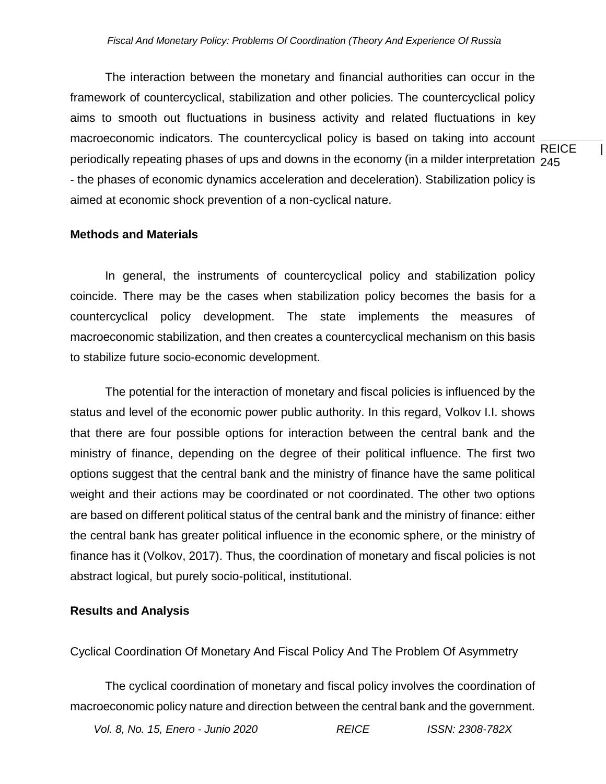**REICE** periodically repeating phases of ups and downs in the economy (in a milder interpretation  $\,{}_{245}$ The interaction between the monetary and financial authorities can occur in the framework of countercyclical, stabilization and other policies. The countercyclical policy aims to smooth out fluctuations in business activity and related fluctuations in key macroeconomic indicators. The countercyclical policy is based on taking into account - the phases of economic dynamics acceleration and deceleration). Stabilization policy is aimed at economic shock prevention of a non-cyclical nature.

#### **Methods and Materials**

In general, the instruments of countercyclical policy and stabilization policy coincide. There may be the cases when stabilization policy becomes the basis for a countercyclical policy development. The state implements the measures of macroeconomic stabilization, and then creates a countercyclical mechanism on this basis to stabilize future socio-economic development.

The potential for the interaction of monetary and fiscal policies is influenced by the status and level of the economic power public authority. In this regard, Volkov I.I. shows that there are four possible options for interaction between the central bank and the ministry of finance, depending on the degree of their political influence. The first two options suggest that the central bank and the ministry of finance have the same political weight and their actions may be coordinated or not coordinated. The other two options are based on different political status of the central bank and the ministry of finance: either the central bank has greater political influence in the economic sphere, or the ministry of finance has it (Volkov, 2017). Thus, the coordination of monetary and fiscal policies is not abstract logical, but purely socio-political, institutional.

### **Results and Analysis**

Cyclical Coordination Of Monetary And Fiscal Policy And The Problem Of Asymmetry

The cyclical coordination of monetary and fiscal policy involves the coordination of macroeconomic policy nature and direction between the central bank and the government.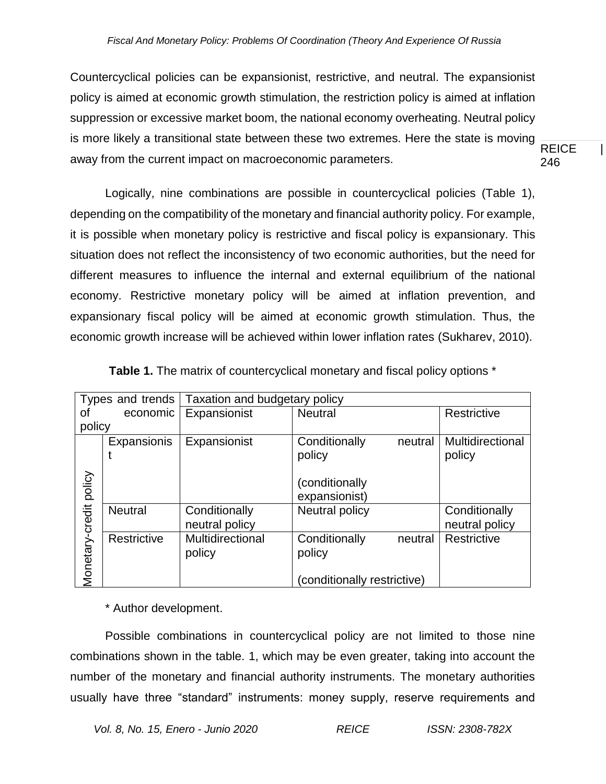**REICE** 246 Countercyclical policies can be expansionist, restrictive, and neutral. The expansionist policy is aimed at economic growth stimulation, the restriction policy is aimed at inflation suppression or excessive market boom, the national economy overheating. Neutral policy is more likely a transitional state between these two extremes. Here the state is moving away from the current impact on macroeconomic parameters.

Logically, nine combinations are possible in countercyclical policies (Table 1), depending on the compatibility of the monetary and financial authority policy. For example, it is possible when monetary policy is restrictive and fiscal policy is expansionary. This situation does not reflect the inconsistency of two economic authorities, but the need for different measures to influence the internal and external equilibrium of the national economy. Restrictive monetary policy will be aimed at inflation prevention, and expansionary fiscal policy will be aimed at economic growth stimulation. Thus, the economic growth increase will be achieved within lower inflation rates (Sukharev, 2010).

| Types and trends |                | Taxation and budgetary policy |                             |                  |  |  |  |  |
|------------------|----------------|-------------------------------|-----------------------------|------------------|--|--|--|--|
| Οf               | economic       | Expansionist                  | <b>Neutral</b>              | Restrictive      |  |  |  |  |
| policy           |                |                               |                             |                  |  |  |  |  |
|                  | Expansionis    | Expansionist                  | Conditionally<br>neutral    | Multidirectional |  |  |  |  |
|                  |                |                               | policy                      | policy           |  |  |  |  |
|                  |                |                               |                             |                  |  |  |  |  |
| policy           |                |                               | conditionally)              |                  |  |  |  |  |
|                  |                |                               | expansionist)               |                  |  |  |  |  |
|                  | <b>Neutral</b> | Conditionally                 | Neutral policy              | Conditionally    |  |  |  |  |
|                  |                | neutral policy                |                             | neutral policy   |  |  |  |  |
| Monetary-credit  | Restrictive    | Multidirectional              | Conditionally<br>neutral    | Restrictive      |  |  |  |  |
|                  |                | policy                        | policy                      |                  |  |  |  |  |
|                  |                |                               |                             |                  |  |  |  |  |
|                  |                |                               | (conditionally restrictive) |                  |  |  |  |  |

**Table 1.** The matrix of countercyclical monetary and fiscal policy options \*

\* Author development.

Possible combinations in countercyclical policy are not limited to those nine combinations shown in the table. 1, which may be even greater, taking into account the number of the monetary and financial authority instruments. The monetary authorities usually have three "standard" instruments: money supply, reserve requirements and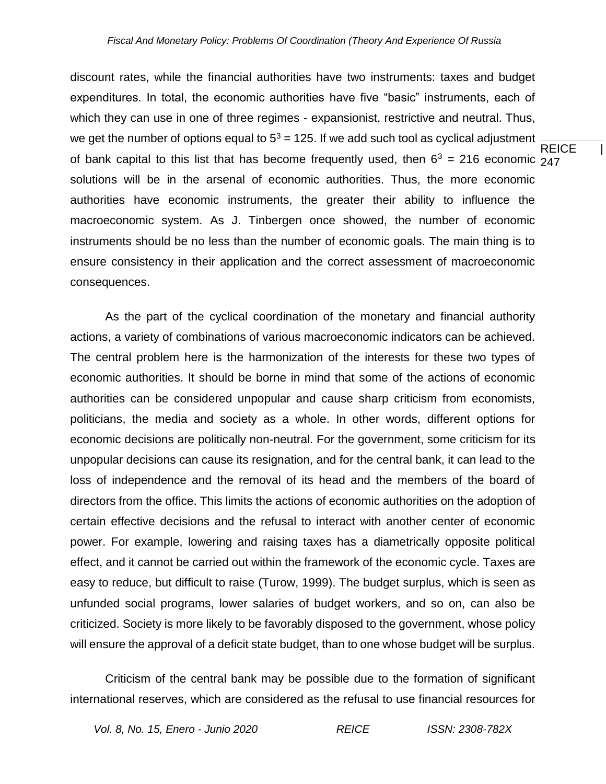**REICE** of bank capital to this list that has become frequently used, then  $6^3$  = 216 economic  $247$ discount rates, while the financial authorities have two instruments: taxes and budget expenditures. In total, the economic authorities have five "basic" instruments, each of which they can use in one of three regimes - expansionist, restrictive and neutral. Thus, we get the number of options equal to  $5<sup>3</sup> = 125$ . If we add such tool as cyclical adjustment solutions will be in the arsenal of economic authorities. Thus, the more economic authorities have economic instruments, the greater their ability to influence the macroeconomic system. As J. Tinbergen once showed, the number of economic instruments should be no less than the number of economic goals. The main thing is to ensure consistency in their application and the correct assessment of macroeconomic consequences.

As the part of the cyclical coordination of the monetary and financial authority actions, a variety of combinations of various macroeconomic indicators can be achieved. The central problem here is the harmonization of the interests for these two types of economic authorities. It should be borne in mind that some of the actions of economic authorities can be considered unpopular and cause sharp criticism from economists, politicians, the media and society as a whole. In other words, different options for economic decisions are politically non-neutral. For the government, some criticism for its unpopular decisions can cause its resignation, and for the central bank, it can lead to the loss of independence and the removal of its head and the members of the board of directors from the office. This limits the actions of economic authorities on the adoption of certain effective decisions and the refusal to interact with another center of economic power. For example, lowering and raising taxes has a diametrically opposite political effect, and it cannot be carried out within the framework of the economic cycle. Taxes are easy to reduce, but difficult to raise (Turow, 1999). The budget surplus, which is seen as unfunded social programs, lower salaries of budget workers, and so on, can also be criticized. Society is more likely to be favorably disposed to the government, whose policy will ensure the approval of a deficit state budget, than to one whose budget will be surplus.

Criticism of the central bank may be possible due to the formation of significant international reserves, which are considered as the refusal to use financial resources for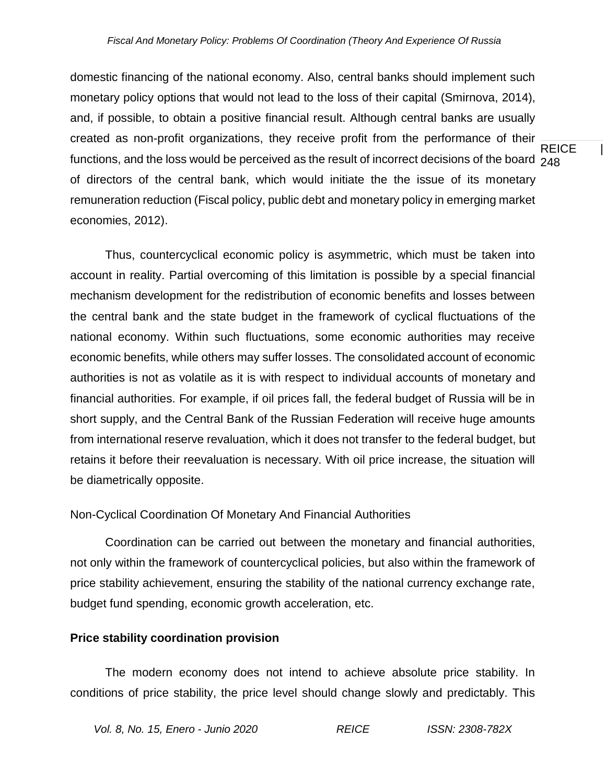#### *Fiscal And Monetary Policy: Problems Of Coordination (Theory And Experience Of Russia*

**REICE** functions, and the loss would be perceived as the result of incorrect decisions of the board  $\,{}_{248}$ domestic financing of the national economy. Also, central banks should implement such monetary policy options that would not lead to the loss of their capital (Smirnova, 2014), and, if possible, to obtain a positive financial result. Although central banks are usually created as non-profit organizations, they receive profit from the performance of their of directors of the central bank, which would initiate the the issue of its monetary remuneration reduction (Fiscal policy, public debt and monetary policy in emerging market economies, 2012).

Thus, countercyclical economic policy is asymmetric, which must be taken into account in reality. Partial overcoming of this limitation is possible by a special financial mechanism development for the redistribution of economic benefits and losses between the central bank and the state budget in the framework of cyclical fluctuations of the national economy. Within such fluctuations, some economic authorities may receive economic benefits, while others may suffer losses. The consolidated account of economic authorities is not as volatile as it is with respect to individual accounts of monetary and financial authorities. For example, if oil prices fall, the federal budget of Russia will be in short supply, and the Central Bank of the Russian Federation will receive huge amounts from international reserve revaluation, which it does not transfer to the federal budget, but retains it before their reevaluation is necessary. With oil price increase, the situation will be diametrically opposite.

#### Non-Cyclical Coordination Of Monetary And Financial Authorities

Coordination can be carried out between the monetary and financial authorities, not only within the framework of countercyclical policies, but also within the framework of price stability achievement, ensuring the stability of the national currency exchange rate, budget fund spending, economic growth acceleration, etc.

### **Price stability coordination provision**

The modern economy does not intend to achieve absolute price stability. In conditions of price stability, the price level should change slowly and predictably. This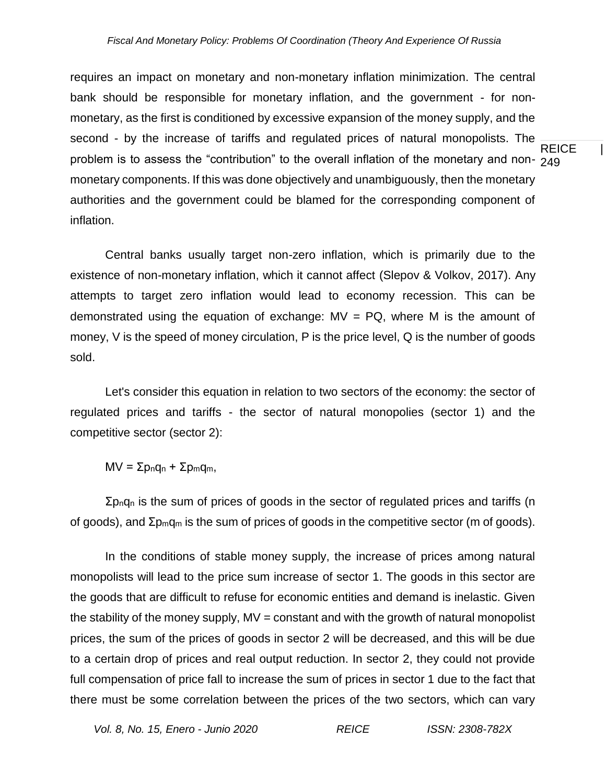REICE | problem is to assess the "contribution" to the overall inflation of the monetary and non- <sub>249</sub> requires an impact on monetary and non-monetary inflation minimization. The central bank should be responsible for monetary inflation, and the government - for nonmonetary, as the first is conditioned by excessive expansion of the money supply, and the second - by the increase of tariffs and regulated prices of natural monopolists. The monetary components. If this was done objectively and unambiguously, then the monetary authorities and the government could be blamed for the corresponding component of inflation.

Central banks usually target non-zero inflation, which is primarily due to the existence of non-monetary inflation, which it cannot affect (Slepov & Volkov, 2017). Any attempts to target zero inflation would lead to economy recession. This can be demonstrated using the equation of exchange:  $MV = PQ$ , where M is the amount of money, V is the speed of money circulation, P is the price level, Q is the number of goods sold.

Let's consider this equation in relation to two sectors of the economy: the sector of regulated prices and tariffs - the sector of natural monopolies (sector 1) and the competitive sector (sector 2):

 $MV = Σp<sub>n</sub>q<sub>n</sub> + Σp<sub>m</sub>q<sub>m</sub>$ 

 $\Sigma$ <sub>pn</sub>q<sub>n</sub> is the sum of prices of goods in the sector of regulated prices and tariffs (n of goods), and Σpmq<sup>m</sup> is the sum of prices of goods in the competitive sector (m of goods).

In the conditions of stable money supply, the increase of prices among natural monopolists will lead to the price sum increase of sector 1. The goods in this sector are the goods that are difficult to refuse for economic entities and demand is inelastic. Given the stability of the money supply,  $MV = constant$  and with the growth of natural monopolist prices, the sum of the prices of goods in sector 2 will be decreased, and this will be due to a certain drop of prices and real output reduction. In sector 2, they could not provide full compensation of price fall to increase the sum of prices in sector 1 due to the fact that there must be some correlation between the prices of the two sectors, which can vary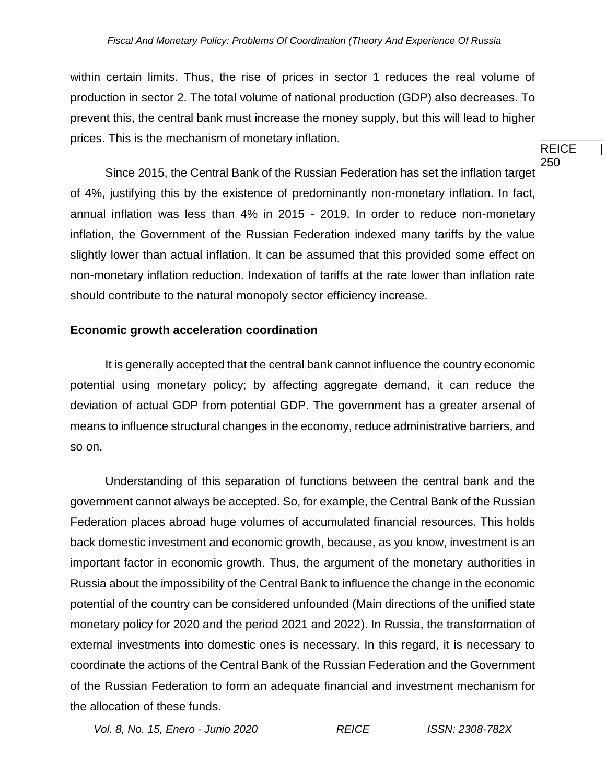within certain limits. Thus, the rise of prices in sector 1 reduces the real volume of production in sector 2. The total volume of national production (GDP) also decreases. To prevent this, the central bank must increase the money supply, but this will lead to higher prices. This is the mechanism of monetary inflation.

Since 2015, the Central Bank of the Russian Federation has set the inflation target of 4%, justifying this by the existence of predominantly non-monetary inflation. In fact, annual inflation was less than 4% in 2015 - 2019. In order to reduce non-monetary inflation, the Government of the Russian Federation indexed many tariffs by the value slightly lower than actual inflation. It can be assumed that this provided some effect on non-monetary inflation reduction. Indexation of tariffs at the rate lower than inflation rate should contribute to the natural monopoly sector efficiency increase.

## **Economic growth acceleration coordination**

It is generally accepted that the central bank cannot influence the country economic potential using monetary policy; by affecting aggregate demand, it can reduce the deviation of actual GDP from potential GDP. The government has a greater arsenal of means to influence structural changes in the economy, reduce administrative barriers, and so on.

Understanding of this separation of functions between the central bank and the government cannot always be accepted. So, for example, the Central Bank of the Russian Federation places abroad huge volumes of accumulated financial resources. This holds back domestic investment and economic growth, because, as you know, investment is an important factor in economic growth. Thus, the argument of the monetary authorities in Russia about the impossibility of the Central Bank to influence the change in the economic potential of the country can be considered unfounded (Main directions of the unified state monetary policy for 2020 and the period 2021 and 2022). In Russia, the transformation of external investments into domestic ones is necessary. In this regard, it is necessary to coordinate the actions of the Central Bank of the Russian Federation and the Government of the Russian Federation to form an adequate financial and investment mechanism for the allocation of these funds.

*Vol. 8, No. 15, Enero - Junio 2020 REICE ISSN: 2308-782X*

**REICE** 250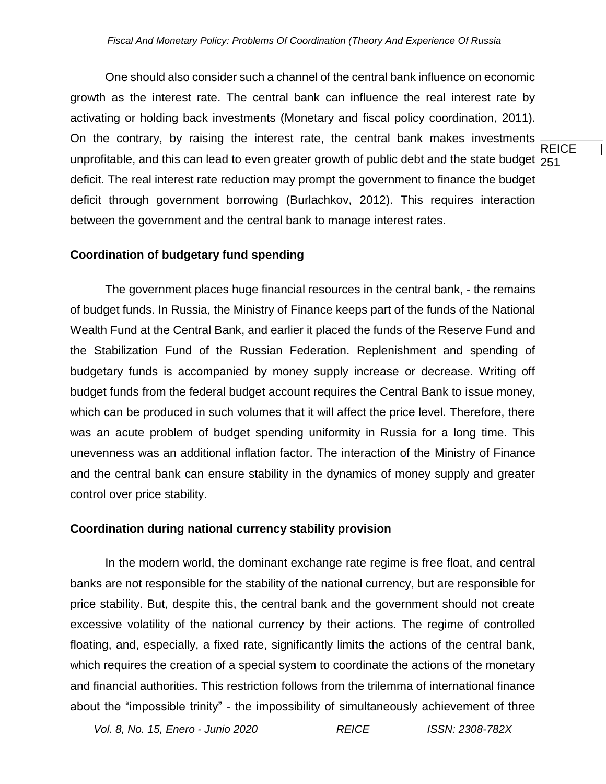**REICE** unprofitable, and this can lead to even greater growth of public debt and the state budget <sub>251</sub> One should also consider such a channel of the central bank influence on economic growth as the interest rate. The central bank can influence the real interest rate by activating or holding back investments (Monetary and fiscal policy coordination, 2011). On the contrary, by raising the interest rate, the central bank makes investments deficit. The real interest rate reduction may prompt the government to finance the budget deficit through government borrowing (Burlachkov, 2012). This requires interaction between the government and the central bank to manage interest rates.

#### **Coordination of budgetary fund spending**

The government places huge financial resources in the central bank, - the remains of budget funds. In Russia, the Ministry of Finance keeps part of the funds of the National Wealth Fund at the Central Bank, and earlier it placed the funds of the Reserve Fund and the Stabilization Fund of the Russian Federation. Replenishment and spending of budgetary funds is accompanied by money supply increase or decrease. Writing off budget funds from the federal budget account requires the Central Bank to issue money, which can be produced in such volumes that it will affect the price level. Therefore, there was an acute problem of budget spending uniformity in Russia for a long time. This unevenness was an additional inflation factor. The interaction of the Ministry of Finance and the central bank can ensure stability in the dynamics of money supply and greater control over price stability.

#### **Coordination during national currency stability provision**

In the modern world, the dominant exchange rate regime is free float, and central banks are not responsible for the stability of the national currency, but are responsible for price stability. But, despite this, the central bank and the government should not create excessive volatility of the national currency by their actions. The regime of controlled floating, and, especially, a fixed rate, significantly limits the actions of the central bank, which requires the creation of a special system to coordinate the actions of the monetary and financial authorities. This restriction follows from the trilemma of international finance about the "impossible trinity" - the impossibility of simultaneously achievement of three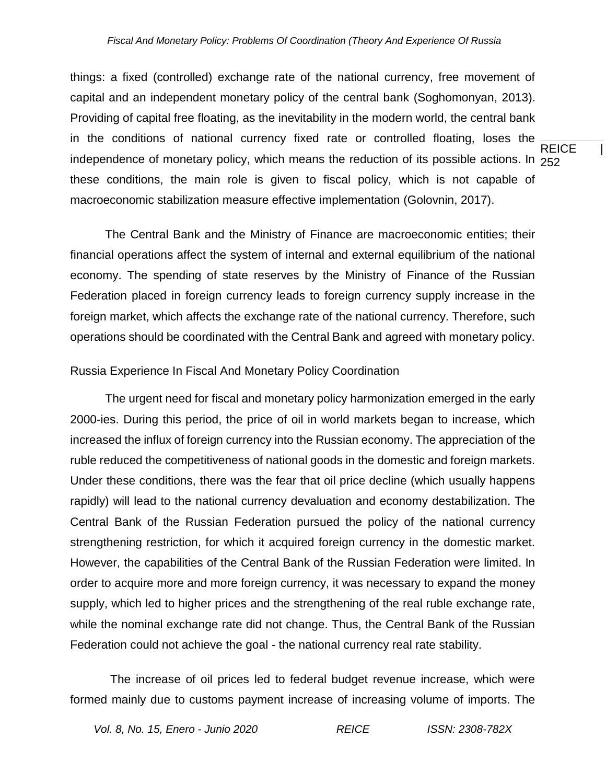REICE | independence of monetary policy, which means the reduction of its possible actions. In  $_{\rm 252}$ things: a fixed (controlled) exchange rate of the national currency, free movement of capital and an independent monetary policy of the central bank (Soghomonyan, 2013). Providing of capital free floating, as the inevitability in the modern world, the central bank in the conditions of national currency fixed rate or controlled floating, loses the these conditions, the main role is given to fiscal policy, which is not capable of macroeconomic stabilization measure effective implementation (Golovnin, 2017).

The Central Bank and the Ministry of Finance are macroeconomic entities; their financial operations affect the system of internal and external equilibrium of the national economy. The spending of state reserves by the Ministry of Finance of the Russian Federation placed in foreign currency leads to foreign currency supply increase in the foreign market, which affects the exchange rate of the national currency. Therefore, such operations should be coordinated with the Central Bank and agreed with monetary policy.

#### Russia Experience In Fiscal And Monetary Policy Coordination

The urgent need for fiscal and monetary policy harmonization emerged in the early 2000-ies. During this period, the price of oil in world markets began to increase, which increased the influx of foreign currency into the Russian economy. The appreciation of the ruble reduced the competitiveness of national goods in the domestic and foreign markets. Under these conditions, there was the fear that oil price decline (which usually happens rapidly) will lead to the national currency devaluation and economy destabilization. The Central Bank of the Russian Federation pursued the policy of the national currency strengthening restriction, for which it acquired foreign currency in the domestic market. However, the capabilities of the Central Bank of the Russian Federation were limited. In order to acquire more and more foreign currency, it was necessary to expand the money supply, which led to higher prices and the strengthening of the real ruble exchange rate, while the nominal exchange rate did not change. Thus, the Central Bank of the Russian Federation could not achieve the goal - the national currency real rate stability.

The increase of oil prices led to federal budget revenue increase, which were formed mainly due to customs payment increase of increasing volume of imports. The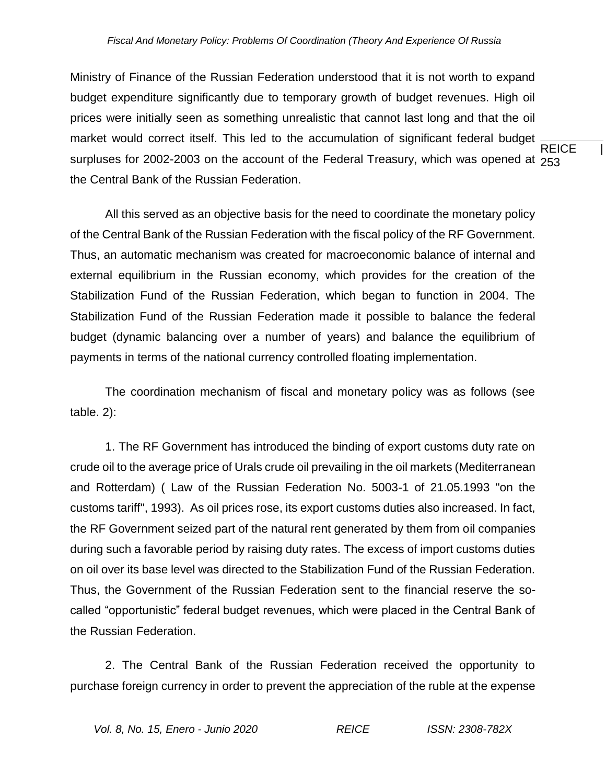**REICE** surpluses for 2002-2003 on the account of the Federal Treasury, which was opened at  $_{\mathrm{253}}$ Ministry of Finance of the Russian Federation understood that it is not worth to expand budget expenditure significantly due to temporary growth of budget revenues. High oil prices were initially seen as something unrealistic that cannot last long and that the oil market would correct itself. This led to the accumulation of significant federal budget the Central Bank of the Russian Federation.

All this served as an objective basis for the need to coordinate the monetary policy of the Central Bank of the Russian Federation with the fiscal policy of the RF Government. Thus, an automatic mechanism was created for macroeconomic balance of internal and external equilibrium in the Russian economy, which provides for the creation of the Stabilization Fund of the Russian Federation, which began to function in 2004. The Stabilization Fund of the Russian Federation made it possible to balance the federal budget (dynamic balancing over a number of years) and balance the equilibrium of payments in terms of the national currency controlled floating implementation.

The coordination mechanism of fiscal and monetary policy was as follows (see table. 2):

1. The RF Government has introduced the binding of export customs duty rate on crude oil to the average price of Urals crude oil prevailing in the oil markets (Mediterranean and Rotterdam) ( Law of the Russian Federation No. 5003-1 of 21.05.1993 "on the customs tariff", 1993). As oil prices rose, its export customs duties also increased. In fact, the RF Government seized part of the natural rent generated by them from oil companies during such a favorable period by raising duty rates. The excess of import customs duties on oil over its base level was directed to the Stabilization Fund of the Russian Federation. Thus, the Government of the Russian Federation sent to the financial reserve the socalled "opportunistic" federal budget revenues, which were placed in the Central Bank of the Russian Federation.

2. The Central Bank of the Russian Federation received the opportunity to purchase foreign currency in order to prevent the appreciation of the ruble at the expense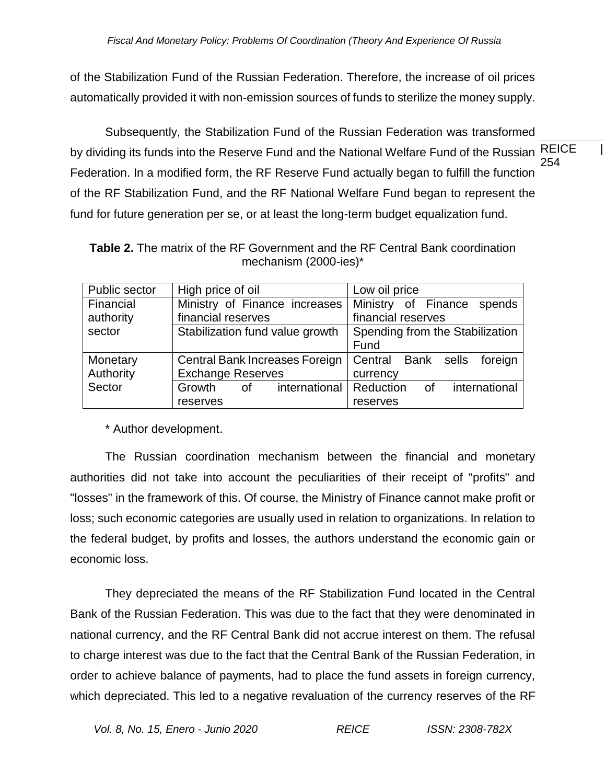of the Stabilization Fund of the Russian Federation. Therefore, the increase of oil prices automatically provided it with non-emission sources of funds to sterilize the money supply.

REICE | 254 Subsequently, the Stabilization Fund of the Russian Federation was transformed by dividing its funds into the Reserve Fund and the National Welfare Fund of the Russian Federation. In a modified form, the RF Reserve Fund actually began to fulfill the function of the RF Stabilization Fund, and the RF National Welfare Fund began to represent the fund for future generation per se, or at least the long-term budget equalization fund.

**Table 2.** The matrix of the RF Government and the RF Central Bank coordination mechanism (2000-ies)\*

| Public sector | High price of oil               |    |                                | Low oil price       |                                 |    |  |               |  |
|---------------|---------------------------------|----|--------------------------------|---------------------|---------------------------------|----|--|---------------|--|
| Financial     |                                 |    | Ministry of Finance increases  | Ministry of Finance |                                 |    |  | spends        |  |
| authority     | financial reserves              |    |                                | financial reserves  |                                 |    |  |               |  |
| sector        | Stabilization fund value growth |    |                                |                     | Spending from the Stabilization |    |  |               |  |
|               |                                 |    |                                | Fund                |                                 |    |  |               |  |
| Monetary      |                                 |    | Central Bank Increases Foreign | Central Bank sells  |                                 |    |  | foreign       |  |
| Authority     | <b>Exchange Reserves</b>        |    |                                | currency            |                                 |    |  |               |  |
| Sector        | Growth                          | of | international                  | Reduction           |                                 | of |  | international |  |
|               | reserves                        |    |                                | reserves            |                                 |    |  |               |  |

\* Author development.

The Russian coordination mechanism between the financial and monetary authorities did not take into account the peculiarities of their receipt of "profits" and "losses" in the framework of this. Of course, the Ministry of Finance cannot make profit or loss; such economic categories are usually used in relation to organizations. In relation to the federal budget, by profits and losses, the authors understand the economic gain or economic loss.

They depreciated the means of the RF Stabilization Fund located in the Central Bank of the Russian Federation. This was due to the fact that they were denominated in national currency, and the RF Central Bank did not accrue interest on them. The refusal to charge interest was due to the fact that the Central Bank of the Russian Federation, in order to achieve balance of payments, had to place the fund assets in foreign currency, which depreciated. This led to a negative revaluation of the currency reserves of the RF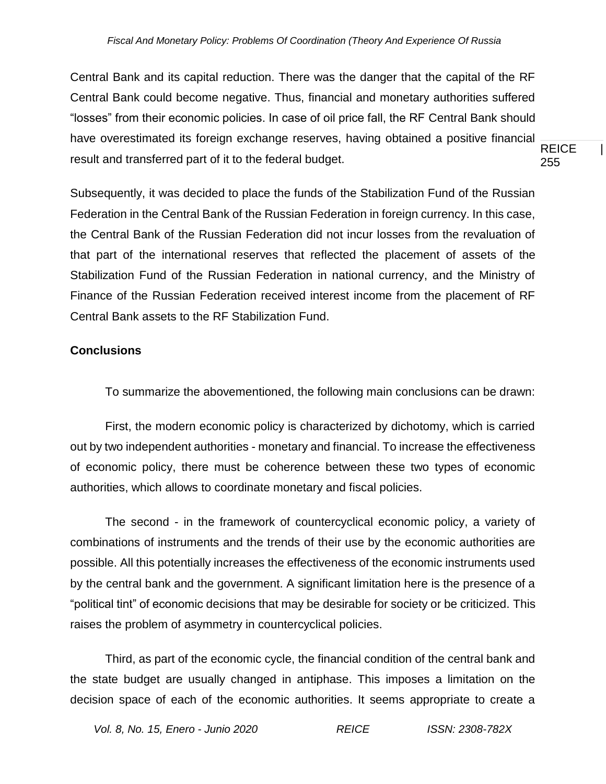REICE | 255 Central Bank and its capital reduction. There was the danger that the capital of the RF Central Bank could become negative. Thus, financial and monetary authorities suffered "losses" from their economic policies. In case of oil price fall, the RF Central Bank should have overestimated its foreign exchange reserves, having obtained a positive financial result and transferred part of it to the federal budget.

Subsequently, it was decided to place the funds of the Stabilization Fund of the Russian Federation in the Central Bank of the Russian Federation in foreign currency. In this case, the Central Bank of the Russian Federation did not incur losses from the revaluation of that part of the international reserves that reflected the placement of assets of the Stabilization Fund of the Russian Federation in national currency, and the Ministry of Finance of the Russian Federation received interest income from the placement of RF Central Bank assets to the RF Stabilization Fund.

## **Conclusions**

To summarize the abovementioned, the following main conclusions can be drawn:

First, the modern economic policy is characterized by dichotomy, which is carried out by two independent authorities - monetary and financial. To increase the effectiveness of economic policy, there must be coherence between these two types of economic authorities, which allows to coordinate monetary and fiscal policies.

The second - in the framework of countercyclical economic policy, a variety of combinations of instruments and the trends of their use by the economic authorities are possible. All this potentially increases the effectiveness of the economic instruments used by the central bank and the government. A significant limitation here is the presence of a "political tint" of economic decisions that may be desirable for society or be criticized. This raises the problem of asymmetry in countercyclical policies.

Third, as part of the economic cycle, the financial condition of the central bank and the state budget are usually changed in antiphase. This imposes a limitation on the decision space of each of the economic authorities. It seems appropriate to create a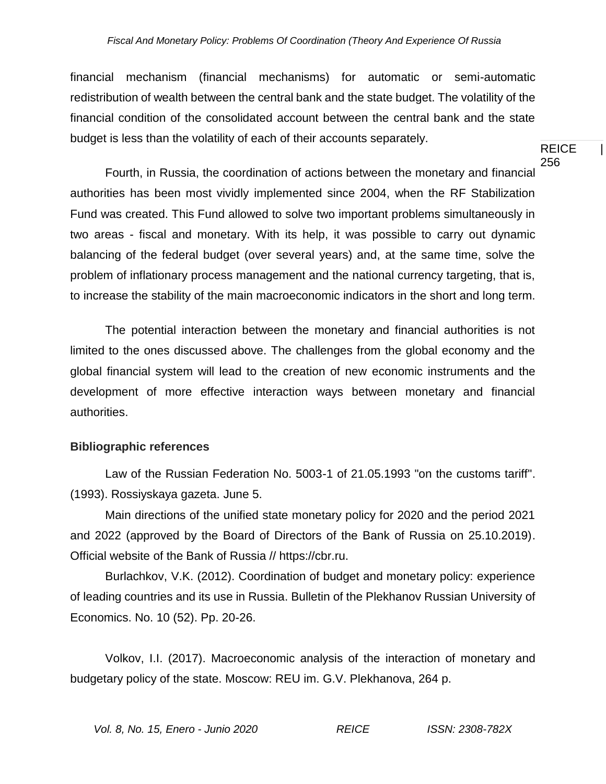financial mechanism (financial mechanisms) for automatic or semi-automatic redistribution of wealth between the central bank and the state budget. The volatility of the financial condition of the consolidated account between the central bank and the state budget is less than the volatility of each of their accounts separately.

REICE | 256

Fourth, in Russia, the coordination of actions between the monetary and financial authorities has been most vividly implemented since 2004, when the RF Stabilization Fund was created. This Fund allowed to solve two important problems simultaneously in two areas - fiscal and monetary. With its help, it was possible to carry out dynamic balancing of the federal budget (over several years) and, at the same time, solve the problem of inflationary process management and the national currency targeting, that is, to increase the stability of the main macroeconomic indicators in the short and long term.

The potential interaction between the monetary and financial authorities is not limited to the ones discussed above. The challenges from the global economy and the global financial system will lead to the creation of new economic instruments and the development of more effective interaction ways between monetary and financial authorities.

#### **Bibliographic references**

Law of the Russian Federation No. 5003-1 of 21.05.1993 "on the customs tariff". (1993). Rossiyskaya gazeta. June 5.

Main directions of the unified state monetary policy for 2020 and the period 2021 and 2022 (approved by the Board of Directors of the Bank of Russia on 25.10.2019). Official website of the Bank of Russia // https://cbr.ru.

Burlachkov, V.K. (2012). Coordination of budget and monetary policy: experience of leading countries and its use in Russia. Bulletin of the Plekhanov Russian University of Economics. No. 10 (52). Pp. 20-26.

Volkov, I.I. (2017). Macroeconomic analysis of the interaction of monetary and budgetary policy of the state. Moscow: REU im. G.V. Plekhanova, 264 p.